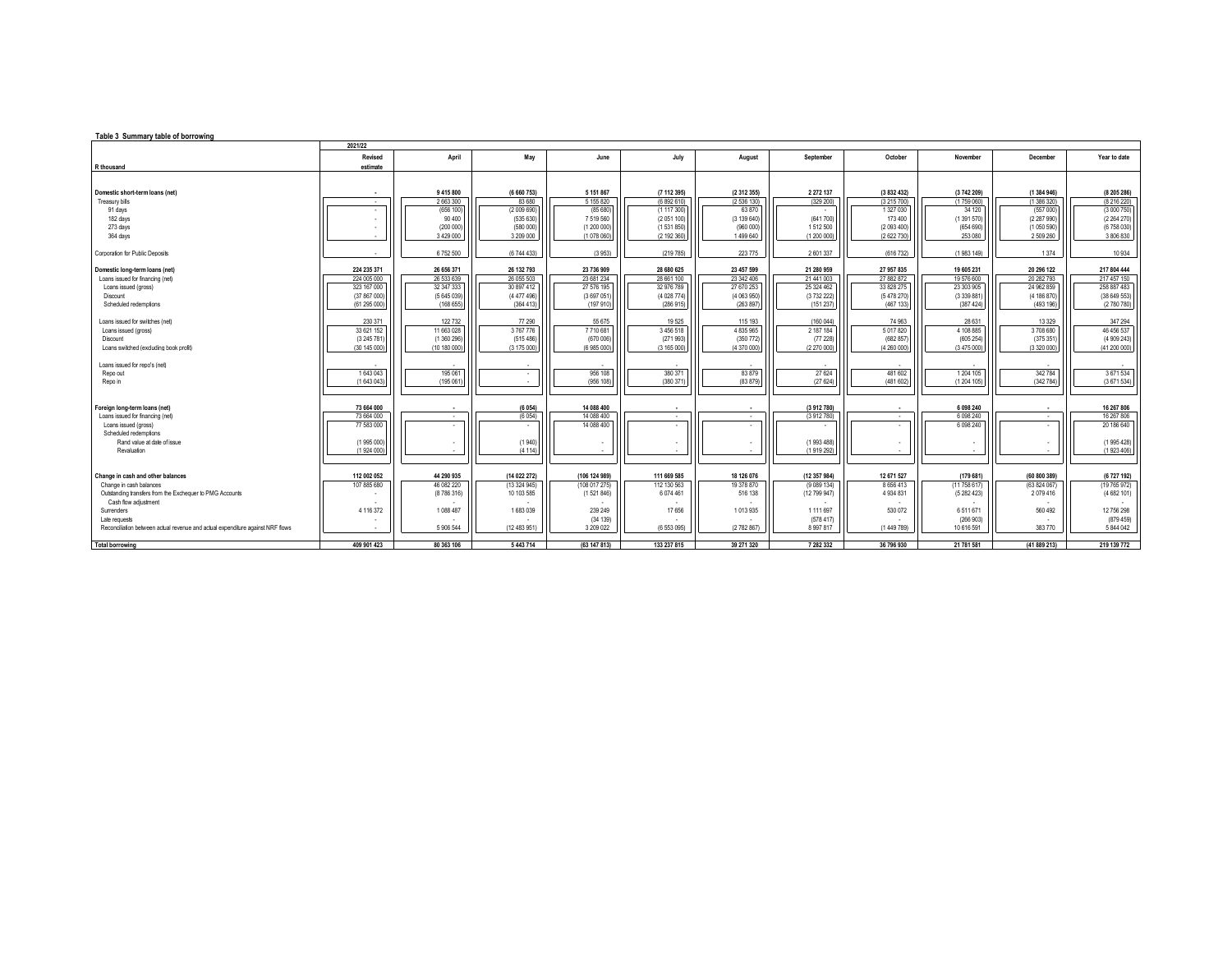| Table 3 Summary table of borrowing                                             |                                 |                        |                     |                        |                            |                          |                            |                         |                     |                       |                          |  |
|--------------------------------------------------------------------------------|---------------------------------|------------------------|---------------------|------------------------|----------------------------|--------------------------|----------------------------|-------------------------|---------------------|-----------------------|--------------------------|--|
|                                                                                | 2021/22                         |                        |                     |                        |                            |                          |                            |                         |                     |                       |                          |  |
|                                                                                | Revised                         | April                  | May                 | June                   | July                       | August                   | September                  | October                 | November            | December              | Year to date             |  |
| R thousand                                                                     | estimate                        |                        |                     |                        |                            |                          |                            |                         |                     |                       |                          |  |
|                                                                                |                                 |                        |                     |                        |                            |                          |                            |                         |                     |                       |                          |  |
|                                                                                |                                 |                        |                     |                        |                            |                          |                            |                         |                     |                       |                          |  |
| Domestic short-term loans (net)                                                |                                 | 9 415 800<br>2 663 300 | (6660753)<br>83 680 | 5 151 867<br>5 155 820 | (7 112 395)<br>(6 892 610) | (2 312 355)<br>(2536130) | 2 2 7 2 1 3 7<br>(329 200) | (3832432)               | (3742209)           | (1384946)             | (8205286)<br>(8 216 220) |  |
| Treasury bills<br>91 days                                                      | . .<br>$\overline{\phantom{a}}$ | (656 100               | (2009690)           | (85680)                | (1117300)                  | 63 870                   |                            | (3215700)<br>1 327 0 30 | (1759060)<br>34 120 | (1386320)<br>(557000) | (3000750)                |  |
| 182 days                                                                       |                                 | 90 400                 | (535630)            | 7519560                | (2051100)                  | (3139640)                | (641700)                   | 173 400                 | (1391570)           | (2287990)             | (2 264 270)              |  |
| 273 days                                                                       |                                 | (200 000               | (580 000)           | (1 200 000             | (1531850)                  | (960000)                 | 1512500                    | (2093400)               | (654690)            | (1050590)             | (6758030)                |  |
| 364 days                                                                       |                                 | 3 4 29 0 00            | 3 209 000           | (1 078 060             | (2 192 360)                | 1499640                  | (1200000)                  | (2622730)               | 253 080             | 2 509 260             | 3 806 830                |  |
|                                                                                |                                 |                        |                     |                        |                            |                          |                            |                         |                     |                       |                          |  |
| Corporation for Public Deposits                                                |                                 | 6752500                | (6 744 433)         | (3953)                 | (219785)                   | 223 775                  | 2601337                    | (616732)                | (1983 149)          | 1374                  | 10 9 34                  |  |
| Domestic long-term loans (net)                                                 | 224 235 371                     | 26 656 371             | 26 132 793          | 23 736 909             | 28 680 625                 | 23 457 599               | 21 280 959                 | 27 957 835              | 19 605 231          | 20 296 122            | 217 804 444              |  |
| Loans issued for financing (net)                                               | 224 005 000                     | 26 533 639             | 26 055 503          | 23 681 234             | 28 661 100                 | 23 342 406               | 21 441 003                 | 27 882 872              | 19 576 600          | 20 282 793            | 217 457 150              |  |
| Loans issued (gross)                                                           | 323 167 000                     | 32 347 333             | 30 897 412          | 27 576 195             | 32 976 789                 | 27 670 253               | 25 324 462                 | 33 828 275              | 23 303 905          | 24 962 859            | 258 887 483              |  |
| Discount                                                                       | (37867000)                      | (5645039)              | (4477496)           | (3697051               | (4 028 774)                | (4063950)                | (373222)                   | (5 478 270)             | (3 339 881          | (4 186 870)           | (38649553)               |  |
| Scheduled redemptions                                                          | (61 295 000)                    | (168 655               | (364 413)           | (197 910               | (286915)                   | (263 897)                | (151 237)                  | (467 133)               | (387 424            | (493 196)             | (2780780)                |  |
|                                                                                |                                 |                        |                     |                        |                            |                          |                            |                         |                     |                       |                          |  |
| Loans issued for switches (net)                                                | 230 371                         | 122 732                | 77 290              | 55 675                 | 19 5 25                    | 115 193                  | (160 044)                  | 74 963                  | 28 631              | 13 3 29               | 347 294                  |  |
| Loans issued (gross)                                                           | 33 621 152                      | 11 663 028             | 3767776             | 7710681                | 3456518                    | 4 835 965                | 2 187 184                  | 5 017 8 20              | 4 108 885           | 3708680               | 46 456 537               |  |
| Discount                                                                       | (3 245 781                      | (1360296)              | (515486)            | (670 006               | (271993)                   | (350 772)                | (77228)                    | (682 857)               | (605 254            | (375351)              | (4 909 243)              |  |
| Loans switched (excluding book profit)                                         | (30 145 000)                    | (10 180 000)           | (3175000)           | (6 985 000)            | (3165000)                  | (4 370 000)              | (2270000)                  | (4260000)               | (3475000)           | (3320000)             | (41200000)               |  |
|                                                                                |                                 |                        |                     |                        |                            |                          |                            |                         |                     |                       |                          |  |
| Loans issued for repo's (net)                                                  |                                 |                        |                     |                        |                            |                          |                            |                         |                     |                       |                          |  |
| Repo out                                                                       | 1643043                         | 195 061                |                     | 956 108                | 380 371                    | 83879                    | 27 6 24                    | 481 602                 | 1 204 105           | 342784                | 3671534                  |  |
| Repo in                                                                        | (1643043)                       | (195 061)              |                     | (956 108)              | (380 371)                  | (83 879)                 | (27624)                    | (481602)                | (1 204 105)         | (342784)              | (3671534)                |  |
|                                                                                |                                 |                        |                     |                        |                            |                          |                            |                         |                     |                       |                          |  |
| Foreign long-term loans (net)                                                  | 73 664 000                      |                        | (6054)              | 14 088 400             |                            |                          | (3912780)                  |                         | 6 098 240           |                       | 16 267 806               |  |
| Loans issued for financing (net)                                               | 73 664 000                      |                        | (6054)              | 14 088 400             |                            |                          | (3912780)                  |                         | 6 0 9 8 2 4 0       | $\sim$                | 16 267 806               |  |
| Loans issued (gross)                                                           | 77 583 000                      |                        |                     | 14 088 400             |                            | $\sim$                   |                            |                         | 6 0 9 8 2 4 0       | ٠                     | 20 186 640               |  |
| Scheduled redemptions                                                          |                                 |                        |                     |                        |                            |                          |                            |                         |                     |                       |                          |  |
| Rand value at date of issue                                                    | (1995000)                       |                        | (1940)              |                        |                            |                          | (1993 488)                 |                         |                     |                       | (1 995 428)              |  |
| Revaluation                                                                    | (1924000)                       |                        | (4114)              |                        |                            |                          | (1919 292)                 |                         |                     |                       | (1923406)                |  |
|                                                                                |                                 |                        |                     |                        |                            |                          |                            |                         |                     |                       |                          |  |
| Change in cash and other balances                                              | 112 002 052                     | 44 290 935             | (14 022 272)        | (106 124 989)          | 111 669 585                | 18 126 076               | (12 357 984)               | 12 671 527              | (179681)            | (60 800 389)          | (6727 192)               |  |
| Change in cash balances                                                        | 107 885 680                     | 46 082 220             | (13324945)          | (108 017 275)          | 112 130 563                | 19 378 870               | (9 089 134)                | 8 6 5 6 4 1 3           | (11758617)          | (63824067)            | (19 765 972)             |  |
| Outstanding transfers from the Exchequer to PMG Accounts                       |                                 | (8786316)              | 10 103 585          | (1521846)              | 6 074 461                  | 516 138                  | (12 799 947)               | 4 9 3 4 8 3 1           | (5282423)           | 2079416               | (4682101)                |  |
| Cash flow adjustment                                                           |                                 |                        |                     |                        |                            |                          |                            |                         |                     |                       |                          |  |
| Surrenders                                                                     | 4 116 372                       | 1088 487               | 1683039             | 239 249                | 17 656                     | 1013935                  | 1 1 1 1 6 9 7              | 530 072                 | 6511671             | 560 492               | 12 756 298               |  |
| Late requests                                                                  |                                 |                        |                     | (34 139)               |                            |                          | (578.417)                  |                         | (266903)            |                       | (879.459)                |  |
| Reconciliation between actual revenue and actual expenditure against NRF flows |                                 | 5 906 544              | (12 483 951)        | 3 209 022              | (6553095)                  | (2782867)                | 8 9 9 7 8 1 7              | (1449789)               | 10 616 591          | 383 770               | 5 844 042                |  |
|                                                                                |                                 |                        |                     |                        |                            |                          |                            |                         |                     |                       |                          |  |
| <b>Total borrowing</b>                                                         | 409 901 423                     | 80 363 106             | 5 443 714           | (63 147 813)           | 133 237 815                | 39 271 320               | 7 282 332                  | 36 796 930              | 21 781 581          | (41 889 213)          | 219 139 772              |  |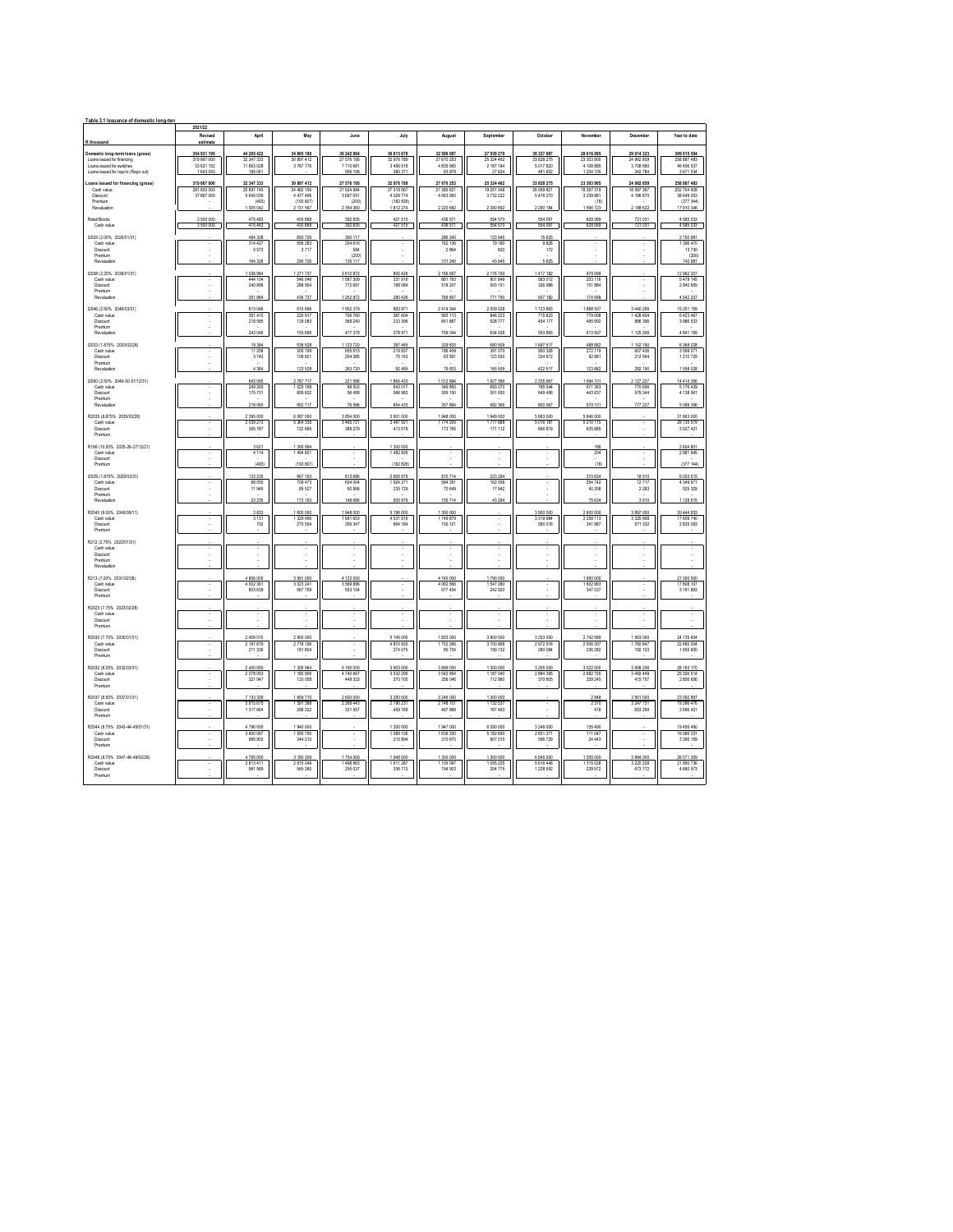| Table 3.1 Issuance of domestic long-ter                                                     |                                          |                                           |                                            |                                           |                                           | 2021/22                                   |                                           |                                                |                                           |                                            |                                                   |  |  |  |  |  |  |  |  |
|---------------------------------------------------------------------------------------------|------------------------------------------|-------------------------------------------|--------------------------------------------|-------------------------------------------|-------------------------------------------|-------------------------------------------|-------------------------------------------|------------------------------------------------|-------------------------------------------|--------------------------------------------|---------------------------------------------------|--|--|--|--|--|--|--|--|
| R thousand                                                                                  | Revised<br>estimate                      | April                                     | May                                        | June                                      | Juh                                       | August                                    | September                                 | October                                        | November                                  | December                                   | Year to date                                      |  |  |  |  |  |  |  |  |
| Domestic long-term loans (gross)<br>Loans issued for financing<br>Loans issued for switches | 354 931 195<br>319 667 000<br>33 621 152 | 44 205 422<br>32 347 333<br>11 663 028    | 34 665 188<br>30 897 412<br>3767776        | 36 242 984<br>27 576 195<br>7710 681      | 36 813 678<br>32 976 789<br>3456518       | 32 590 097<br>27 670 253<br>4 835 965     | 27 539 270<br>25 324 462<br>2 187 184     | 39 327 697<br>33 828 275<br>5 0 1 7 8 2 0      | 28 616 895<br>23 303 905<br>4 108 885     | 29 014 323<br>24 962 859<br>3 708 680      | 309 015 554<br>258 887 483<br>46 456 537          |  |  |  |  |  |  |  |  |
| Loans issued for reco's (Repo out<br>Loans issued for financing (gross)<br>Cash value       | 1 643 04<br>319 667 000<br>281 800 000   | 195 06<br>32 347 333<br>25 697 745        | 30 897 412<br>24 482 156                   | 956 108<br>27 576 195<br>21 524 984       | 380 371<br>32 976 789<br>27 318 567       | 83 87<br>27 670 253<br>21 385 621         | 27 62<br>25 324 462<br>19 251 348         | 481 602<br>33 828 275<br>26 059 821            | 1 204 105<br>23 303 905<br>18 397 319     | 34278<br>24 962 859<br>18 587 367          | 3 671 534<br>258 887 483<br>202 704 928           |  |  |  |  |  |  |  |  |
| Dismunt<br>Premium<br>Revaluatio                                                            | 37 867 000                               | 5 645 039<br>(493)<br>1 005 042           | 4 477 496<br>(193 807)<br>2 131 567        | 3 697 051<br>(200)<br>2 3 5 4 3 6 0       | 4 028 774<br>(182, 826)<br>1812274        | 4 063 950<br>2 220 682                    | 2 340 892                                 | 5478270<br>2 2 9 1 1 8 4                       | 3 3 3 8 8 8 1<br>(18)<br>1566723          | 4 186 870<br>2 188 622                     | 38 649 553<br>(377344)<br>17 910 346              |  |  |  |  |  |  |  |  |
| Retail Bonds<br>Cash value                                                                  | 3 500 000<br>3 500 000                   | 475 483<br>475 483                        | 400 868<br>400 868                         | 392 835<br>392 835                        | 421 515<br>421 515                        | 436 571<br>436 571                        | 554 570<br>554 570                        | 554 091<br>554 091                             | 628 069<br>628 069                        | 721 031<br>721 031                         | 4 585 033<br>4 585 033                            |  |  |  |  |  |  |  |  |
| (2025 (2.00% 2025/01/31)<br>Cash value<br>Discount<br>Premium                               |                                          | 484 328<br>314 427<br>5573                | 850726<br>556 283<br>3717                  | 390 117<br>254 616<br>584<br>(200)        |                                           | 286 240<br>182 136<br>2864                | 123 945<br>79 180<br>820                  | 15 625<br>9 8 2 8<br>172                       |                                           |                                            | 2 150 981<br>1 396 470<br>13730<br>(200)          |  |  |  |  |  |  |  |  |
| Revaluation                                                                                 |                                          | 164 328                                   | 290726                                     | 135 117                                   |                                           | 101 240                                   | 43 945                                    | 5 6 2 5                                        |                                           |                                            | 740 981                                           |  |  |  |  |  |  |  |  |
| 12038 (2.25% 2038/01/31)<br>Cash value<br>Discount<br><b>Dramium</b><br>Revaluation         |                                          | 1.036.984<br>444 104<br>240 896<br>351984 | 1 271 737<br>546 046<br>288 954<br>436 737 | 3612872<br>1587309<br>772 691<br>1252 872 | 800 426<br>331916<br>188 084<br>280 426   | 2 166 657<br>881793<br>518 207<br>766 657 | 2 176 750<br>901 849<br>503 151<br>771750 | 1417 182<br>583 012<br>326 988<br>507 182      | 479 599<br>203 116<br>101884<br>174 599   |                                            | 12 962 207<br>5 479 145<br>2 940 855<br>4 542 207 |  |  |  |  |  |  |  |  |
| 12046 (2.50% 2046/03/31)<br>Cash value                                                      |                                          | 813,046<br>351 415                        | 515 696<br>220 917                         | 1552379<br>706 760                        | 893 971<br>381 604                        | 2 414 344<br>993 113                      | 2 009 028<br>846 223                      | 1723 893                                       | 1888 507<br>779 008                       | 3 440 29<br>1 428 604                      | 15 251 159<br>6 423 467                           |  |  |  |  |  |  |  |  |
| Discount<br>Premium<br>Revaluation                                                          |                                          | 218 585<br>243 046                        | 139 083<br>155 696                         | 368 240<br>477 379                        | 233 396<br>278 971                        | 661 887<br>759 344                        | 528 777<br>634 028                        | 454 177<br>553 893                             | 495 992<br>613 507                        | 886 396<br>1 125 29                        | 3 986 533<br>4 841 159                            |  |  |  |  |  |  |  |  |
| (2033 (1.875% 2033/02/28)<br>Cash value<br>Discount<br>Premium                              |                                          | 19 3 84<br>11 258<br>3742                 | 538 528<br>305 199<br>109 801              | 1 123 720<br>655 615<br>204 385           | 387 465<br>219 837<br>75 163              | 329 833<br>186,409<br>63 591              | 680 509<br>391,070<br>123 930             | 1 697 517<br>950 328<br>324 672                | 488 882<br>272 119<br>92 881              | 1 102 190<br>607 436<br>212 564            | 6 3 6 8 0 2 8<br>3 599 271<br>1 210 7 29          |  |  |  |  |  |  |  |  |
| Revaluation                                                                                 |                                          | 4384                                      | 123 528                                    | 263 720                                   | 92.465                                    | 79.833                                    | 165,509                                   | 422.517                                        | 123.882                                   | 282 190                                    | 1558028                                           |  |  |  |  |  |  |  |  |
| (2050 (2.50% 2049-50-51/12/31)<br>Cash value<br>Discount<br>Premium<br>Revaluation          |                                          | 643 065<br>249 269<br>175 731<br>218.065  | 2787717<br>1 025 168<br>809 832<br>952717  | 221 586<br>88.502<br>56 498<br>76,586     | 1864 433<br>643.017<br>566 983<br>654 437 | 1012894<br>349.850<br>305 150<br>357.89   | 1927366<br>693,070<br>551 930<br>682.366  | 2 2 3 5 9 6 7<br>785 544<br>649 456<br>800.967 | 1594 101<br>571.363<br>443 637<br>579 101 | 2 127 227<br>770,656<br>579 344<br>777.227 | 14 414 356<br>5 176 439<br>4 138 561<br>5 099 356 |  |  |  |  |  |  |  |  |
| R2035 (8.875% 2035/02/28)<br>Cash value<br>Discount                                         |                                          | 2 395 000<br>2 039 213<br>355 787         | 6 087 000<br>5 3 6 4 3 3 5<br>722 665      | 3 854 000<br>3 4 6 5 7 2 1<br>388 279     | 3901000<br>3 487 921<br>413 079           | 1948000<br>1774 205<br>173 795            | 1949000<br>1777888<br>171 112             | 5 683 000<br>5 0 16 18 1<br>666 819            | 5 846 000<br>5 210 115<br>635 885         |                                            | 31 663 000<br>28 135 579<br>3 527 421             |  |  |  |  |  |  |  |  |
| Premium<br>R186 (10.50% 2025-26-27/12/21)<br>Cash value<br>Discount                         |                                          | 3621<br>4 1 1 4                           | 1.300.994<br>1494 801                      |                                           | 1.300.000<br>1482826                      |                                           |                                           |                                                | 186<br>204                                |                                            | 2.604.801<br>2 981 945                            |  |  |  |  |  |  |  |  |
| Premium<br>(2029 (1.875% 2029/03/31)                                                        |                                          | (493)<br>133 235                          | (193 807)<br>967 163                       | 813 686                                   | (182 826)<br>2 665 979                    | 810714                                    | 223 294                                   |                                                | (18)<br>370 634                           | 18910                                      | (377144)<br>6 003 615                             |  |  |  |  |  |  |  |  |
| Cash value<br>Discount<br>Premium<br>Revaluation                                            |                                          | 98.055<br>11945<br>23 235                 | 709 473<br>85 527<br>172 163               | 604,004<br>60 996<br>148 686              | 1924 271<br>235 729<br>505 979            | 584,351<br>70 649<br>155 714              | 162 058<br>17942<br>43 294                | τ                                              | 254 742<br>40 25 8<br>75 634              | 12717<br>2 2 8 3<br>3910                   | 4 349 671<br>525 329<br>1 128 615                 |  |  |  |  |  |  |  |  |
| R2040 (9.00% 2040/09/11)<br>Cash value<br>Discount<br>Premium                               |                                          | 3833<br>3 1 3 1<br>702                    | 1 600 000<br>1329496<br>270.504            | 1948 000<br>1691653<br>256 347            | 5 196 000<br>4531816<br>664 184           | 1 300 000<br>1 149 879<br>150 121         | τ                                         | 3 900 000<br>3 3 1 9 9 8 4<br>580,016          | 2 600 000<br>2 2 5 8 1 1 3<br>341.887     | 3 897 000<br>3 325 668<br>571332           | 20 444 833<br>17 609 740<br>2 835 093             |  |  |  |  |  |  |  |  |
| R212 (2.75% 2022/01/31)<br>Cash value<br><b>Discount</b>                                    |                                          |                                           |                                            |                                           |                                           |                                           |                                           |                                                |                                           |                                            |                                                   |  |  |  |  |  |  |  |  |
| Premium<br>Revaluation                                                                      |                                          |                                           |                                            |                                           |                                           |                                           |                                           |                                                |                                           |                                            |                                                   |  |  |  |  |  |  |  |  |
| R213 (7.00% 2031/02/28)<br>Cash value<br>Discount<br><b>Dramium</b>                         |                                          | 4806000<br>4 002 361<br>803 639           | 3 591 000<br>3 0 2 3 2 4 1<br>567 759      | 4 123 000<br>3 5 6 9 8 9 6<br>553 104     |                                           | 4740 000<br>4 062 566<br>677 434          | 1790 000<br>1547080<br>242 920            |                                                | 1950 000<br>1 602 963<br>347 037          |                                            | 21 000 000<br>17 808 107<br>3 191 893             |  |  |  |  |  |  |  |  |
| R2023 (7.75% 2023/02/28)<br>Cash value<br>Discount                                          |                                          |                                           |                                            | ł.                                        |                                           |                                           |                                           |                                                |                                           |                                            |                                                   |  |  |  |  |  |  |  |  |
| Premium<br>R2030 (7.75% 2030/01/31)<br>Cash value                                           |                                          | 2 409 015<br>2 197 679                    | 2 900 000<br>2718 196                      |                                           | 5 145 000<br>4 870 925                    | 1833000<br>1752266                        | 3 900 000<br>3 700 868                    | 3 2 5 3 0 0 0<br>2972916                       | 2742589<br>2 506 307                      | 1953000<br>1760 847                        | 24 135 604<br>22 480 004                          |  |  |  |  |  |  |  |  |
| Discount<br>Premium<br>R2032 (8.25% 2032/03/31)                                             |                                          | 211 336                                   | 181 804                                    |                                           | 274 075                                   | 80734                                     | 199 132                                   | 280 084                                        | 236 282                                   | 192 153                                    | 1 655 600<br>28 183 170                           |  |  |  |  |  |  |  |  |
| Cash value<br><b>Discount</b><br>Premium                                                    |                                          | 2 400 000<br>2078053<br>321947            | 1305964<br>1185,906<br>120 058             | 5 190 000<br>4 740 667<br>449 333         | 3 903 000<br>3 5 3 2 2 3 5<br>370 705     | 3 899 000<br>3 542 954<br>356 046         | 1 300 000<br>1 187 040<br>112 960         | 3 255 000<br>2 8 8 4 3 9 5<br>370 605          | 3 022 000<br>2682755<br>339 245           | 3 9 8 2 0 6<br>3 492 449<br>415 757        | 25.326.514<br>2 856 656                           |  |  |  |  |  |  |  |  |
| R2037 (8.50% 2037/01/31)<br>Cash value<br>Discount<br>Premium                               |                                          | 7 133 339<br>5 815 675<br>1317664         | 1659710<br>1391388<br>268 322              | 2 600 000<br>2 2 6 8 4 4 3<br>331 557     | 3 250 000<br>2790 231<br>459 769          | 3 246 000<br>2 748 101<br>497 899         | 1 300 000<br>1 132 537<br>167 463         |                                                | 2848<br>2 3 7 0<br>478                    | 3 901 000<br>3 247 731<br>653 269          | 23 092 897<br>19 39 6476<br>3 696 421             |  |  |  |  |  |  |  |  |
| R2044 (8.75% 2043-44-45/01/31)<br>Cash value<br>Discount<br>Premium                         |                                          | 4 796 000<br>3.800.097<br>995 903         | 1940 000<br>1.595.790<br>344 210           |                                           | 1 300 000<br>1 089 1 06<br>210 894        | 1947000<br>1 636 330<br>310 670           | 6 090 000<br>5 182 690<br>907310          | 3 248 000<br>2651271<br>596 729                | 135 490<br>111 047<br>24 4 4 3            |                                            | 19 456 490<br>16 066 331<br>3 3 9 1 1 5 9         |  |  |  |  |  |  |  |  |
| R2048 (8.75% 2047-48-49/02/28)<br>Cash value<br>Discount                                    |                                          | 4795000<br>3 813 411<br>981 589           | 3 180 309<br>2615049<br>565 260            | 1754 000<br>1498 963<br>255 037           | 1948000<br>1611287<br>336 713             | 1 300 000<br>1 105 097<br>194 903         | 1 300 000<br>1095225<br>204 775           | 6 845 000<br>5 6 16 4 48<br>1 2 2 5 5 5 2      | 1555000<br>1315028<br>239 972             | 3 894 000<br>3 2 2 0 2 2 8<br>673 772      | 26 571 309<br>21 890 736<br>4 680 573             |  |  |  |  |  |  |  |  |
| Premium                                                                                     |                                          |                                           |                                            |                                           |                                           |                                           |                                           |                                                |                                           |                                            |                                                   |  |  |  |  |  |  |  |  |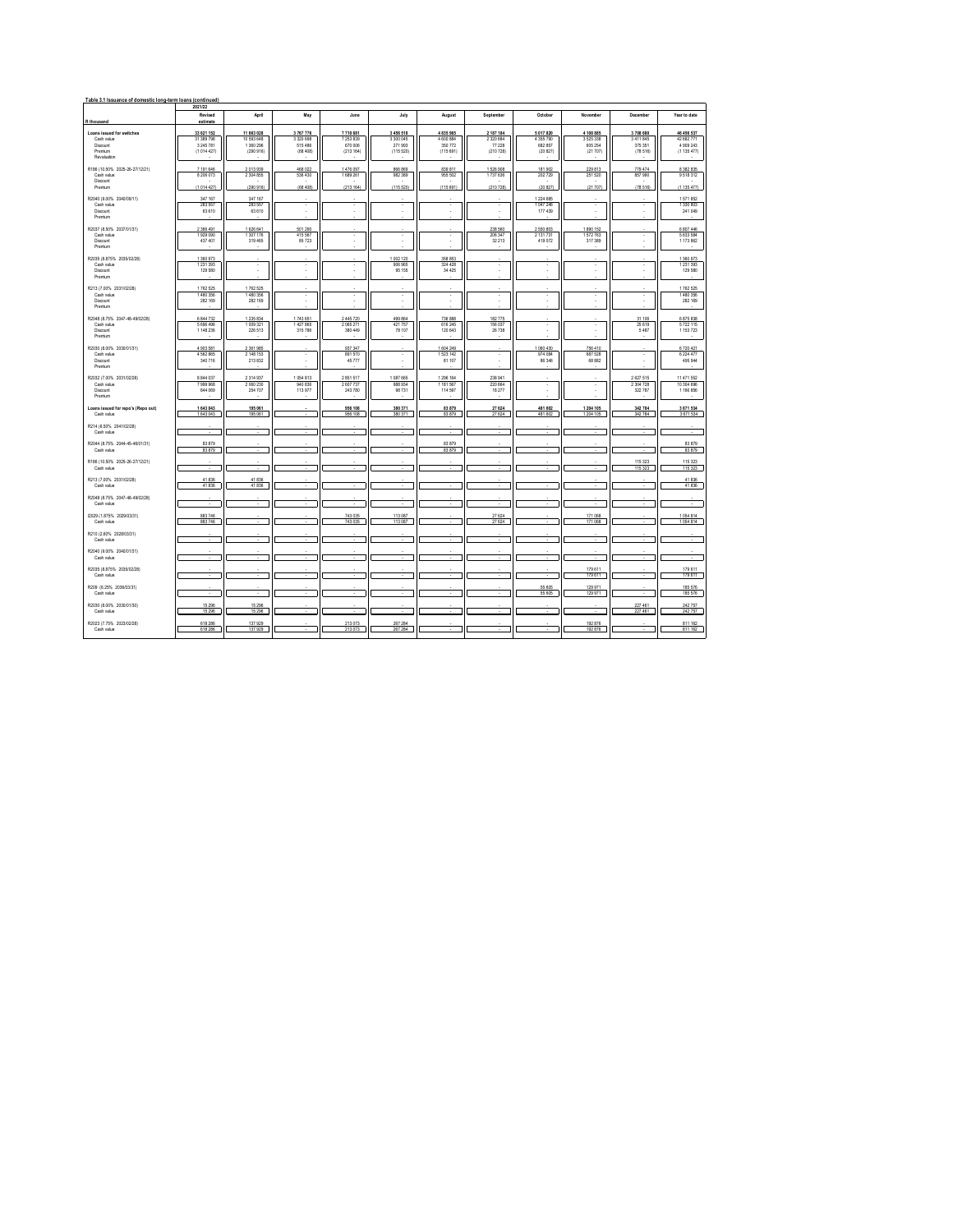| Table 3.1 Issuance of domestic long-term loans (continued)<br>2021/22                |                                           |                                                   |                                       |                                       |                                     |                                   |                                      |                                                  |                                                  |                                             |                                                    |  |  |
|--------------------------------------------------------------------------------------|-------------------------------------------|---------------------------------------------------|---------------------------------------|---------------------------------------|-------------------------------------|-----------------------------------|--------------------------------------|--------------------------------------------------|--------------------------------------------------|---------------------------------------------|----------------------------------------------------|--|--|
|                                                                                      | Revised                                   | April                                             | May                                   | June                                  | July                                | August                            | September                            | October                                          | November                                         | December                                    | Year to date                                       |  |  |
| R thousand                                                                           | estimate<br>33 621 152                    |                                                   | 3767776                               | 7710 681                              | 3456518                             | 4835965                           | 2 187 184                            |                                                  |                                                  |                                             |                                                    |  |  |
| Loans issued for switches<br>Cash value<br><b>Discount</b><br>Premium<br>Revaluation | 31 389 798<br>3 245 781<br>(1014427)      | 11 663 028<br>10 593 648<br>1 360 296<br>(290916) | 3 3 2 0 6 9 8<br>515 486<br>(68, 408) | 7 253 839<br>670 006<br>(213164)      | 3 3 0 0 0 4 5<br>271993<br>(115520) | 4 600 884<br>350772<br>(115691)   | 2 3 2 6 6 8 4<br>77 228<br>(210 728) | 5 017 820<br>4 3 5 7 7 9 0<br>682 857<br>(20827) | 4 108 885<br>3 5 2 5 3 3 8<br>605 254<br>(21707) | 3708 680<br>3 411 845<br>375 351<br>(78516) | 46 456 537<br>42 682 771<br>4 909 243<br>(1135477) |  |  |
| R186 (10.50% 2025-26-27/12/21)<br>Cash value<br>Discount<br>Premium                  | 7 191 646<br>8 206 073<br>(1014 427)      | 2013939<br>2 304 855<br>(290 916)                 | 468 022<br>536 430<br>(68, 408)       | 1476 097<br>1 689 261<br>(213164)     | 866 869<br>982 389<br>(115 520)     | 839 811<br>955 502<br>(115 691)   | 1 526 908<br>1737 636<br>(210 728)   | 181 902<br>202 729<br>(20827)                    | 229 813<br>251 520<br>(21707)                    | 779 474<br>857 990<br>(78 516)              | 8 3 8 2 8 3 5<br>9 5 18 3 12<br>(1 135 477)        |  |  |
| R2040 (9.00% 2040/09/11)<br>Cash value<br><b>Discount</b><br>Premium                 | 347 167<br>283 557<br>63 610              | 347 167<br>283 557<br>63 610                      | ٠<br>×,                               |                                       | $\overline{\phantom{a}}$            | ÷.                                | $\epsilon$<br>×                      | 1224 685<br>1047246<br>177 439                   |                                                  | ×,<br>٠                                     | 1571852<br>1 330 803<br>241 049                    |  |  |
| R2037 (8.50% 2037/01/31)<br>Cash value<br>Discount<br>Premium                        | 2 366 491<br>1929 090<br>437 401          | 1 626 641<br>1 307 176<br>319, 465                | 501 290<br>415 567<br>85723           | ٠<br>٠                                | $\cdot$                             | $\cdot$<br>٠                      | 238 560<br>206 347<br>32 213         | 2 5 50 80 3<br>2 131 731<br>419.072              | 1890 152<br>1572763<br>317.389                   | $\cdot$<br>٠                                | 6 807 446<br>5 633 584<br>1 173 862                |  |  |
| R2035 (8.875% 2035/02/28)<br>Cash value<br>Discount<br>Premium                       | 1360973<br>1 231 393<br>129 580           | ٠                                                 | ٠                                     | ٠                                     | 1002120<br>906 965<br>95 155        | 358 853<br>324 428<br>34 4 25     | $\epsilon$<br>×,                     | ٠                                                | $\overline{\phantom{a}}$                         | $\cdot$                                     | 1 360 973<br>1 231 393<br>129 580                  |  |  |
| R213 (7.00% 2031/02/28)<br>Cash value<br>Discount<br>Premium                         | 1762 525<br>1480356<br>282 169            | 1762 525<br>1 480 356<br>282 169                  | ×.                                    | ī<br>٠                                | ٠<br>٠                              | ٠<br>٠                            | ٠<br>k,                              | ×                                                | ×                                                | ī<br>×,                                     | 1762 525<br>1 480 356<br>282 169                   |  |  |
| R2048 (8.75% 2047-48-49/02/28)<br>Cash value<br>Discount<br>Premium                  | 6 844 732<br>5 696 496<br>1 148 236       | 1 235 834<br>1 009 321<br>226 513                 | 1743 651<br>1427865<br>315 786        | 2 445 720<br>2 0 6 5 2 7 1<br>380 449 | 499 864<br>421 757<br>78 107        | 736 888<br>616 245<br>120 643     | 182775<br>156 037<br>26 738          | ٠                                                |                                                  | 31 106<br>25 6 19<br>5487                   | 6 875 838<br>5 722 115<br>1 153 723                |  |  |
| R2030 (8.00% 2030/01/31)<br>Cash value<br>Discount<br>Premium                        | 4 9 0 3 5 8 1<br>4 5 6 2 8 6 5<br>340 716 | 2 3 6 1 9 8 5<br>2 148 153<br>213 832             | ×                                     | 937 347<br>891 570<br>45 7 7 7        | ٠                                   | 1 604 249<br>1 523 142<br>81 107  | $\epsilon$<br>٠                      | 1060 430<br>974 084<br>86 346                    | 756 410<br>687 528<br>68 8 82                    | ×<br>ä,                                     | 6720421<br>6 224 477<br>495 944                    |  |  |
| R2032 (7.00% 2031/02/28)<br>Cash value<br>Discount<br>Premium                        | 8 844 037<br>7 999 968<br>844 069         | 2 3 1 4 9 3 7<br>2.060.230<br>254 707             | 1054813<br>940 836<br>113,977         | 2851517<br>2607737<br>243,780         | 1 087 665<br>988 934<br>98.731      | 1 296 164<br>1 181 567<br>114,597 | 238 941<br>220 664<br>18.277         | $\overline{\phantom{a}}$                         |                                                  | 2 627 515<br>2 3 04 7 2 8<br>322 787        | 11 471 552<br>10.304.696<br>1 166 856              |  |  |
| Loans issued for repo's (Repo out)<br>Cash value                                     | 1 643 043<br>1643043                      | 195,061<br>195 061                                |                                       | 956 108<br>956 108                    | 380 371<br>380 371                  | 83 879<br>83 879                  | 27 624<br>27 624                     | 481 602<br>481 602                               | 1 204 105<br>1 204 105                           | 342 784<br>342 784                          | 3 671 534<br>3 671 534                             |  |  |
| R214 (6.50% 2041/02/28)<br>Cash value                                                |                                           |                                                   |                                       |                                       |                                     |                                   |                                      |                                                  |                                                  |                                             |                                                    |  |  |
| R2044 (8.75% 2044-45-46/01/31)<br>Cash value                                         | 83 879<br>83 879                          |                                                   |                                       |                                       |                                     | 83 879<br>83 879                  |                                      |                                                  |                                                  |                                             | 83 879<br>83 879                                   |  |  |
| R186 (10.50% 2025-26-27/12/21)<br>Cash value                                         |                                           |                                                   |                                       |                                       |                                     | τ                                 | ×.                                   |                                                  |                                                  | 115 323<br>115 3 23                         | 115 323<br>115 323                                 |  |  |
| R213 (7.00% 2031/02/28)<br>Cash value                                                | 41836<br>41836                            | 41836<br>41836                                    |                                       |                                       |                                     |                                   | ٠                                    |                                                  |                                                  |                                             | 41836<br>41836                                     |  |  |
| R2048 (8.75% 2047-48-49/02/28)<br>Cash value                                         |                                           |                                                   |                                       |                                       |                                     |                                   |                                      |                                                  |                                                  |                                             |                                                    |  |  |
| (2029 (1.875% 2029/03/31)<br>Cash value                                              | 883 746<br>883746                         |                                                   |                                       | 743 035<br>743 035                    | 113 087<br>113 087                  |                                   | 27 624<br>27 624                     |                                                  | 171,068<br>171 068                               |                                             | 1054814<br>1054814                                 |  |  |
| R210 (2.60% 2028/03/31)<br>Cash value                                                |                                           |                                                   |                                       |                                       |                                     |                                   |                                      |                                                  |                                                  |                                             |                                                    |  |  |
| R2040 (9.00% 2040/01/31)<br>Cash value                                               |                                           |                                                   |                                       |                                       |                                     |                                   | . п.                                 |                                                  |                                                  |                                             |                                                    |  |  |
| R2035 (8.875% 2035/02/28)<br>Cash value                                              |                                           |                                                   |                                       |                                       |                                     |                                   | ÷                                    |                                                  | 179 611<br>179 611                               |                                             | 179 611<br>179 611                                 |  |  |
| R209 (6.25% 2036/03/31)<br>Cash value                                                | $\sim$                                    | ٠                                                 |                                       |                                       |                                     |                                   |                                      | 55 605<br>55 605                                 | 129 971<br>129 971                               | ٠                                           | 185 576<br>185 576                                 |  |  |
| R2030 (8.00% 2030/01/30)<br>Cash value                                               | 15 2 96<br>15 29 6                        | 15 29 6<br>15 29 6                                |                                       |                                       |                                     |                                   |                                      |                                                  |                                                  | 227 461<br>227 461                          | 242 757<br>242 757                                 |  |  |
| R2023 (7.75% 2023/02/28)<br>Cash value                                               | 618 286<br>618.286                        | 137 929<br>137929                                 |                                       | 213 073<br>213 073                    | 267 284<br>267 284                  |                                   |                                      |                                                  | 192 876<br>192 876                               |                                             | 811 162<br>811 162                                 |  |  |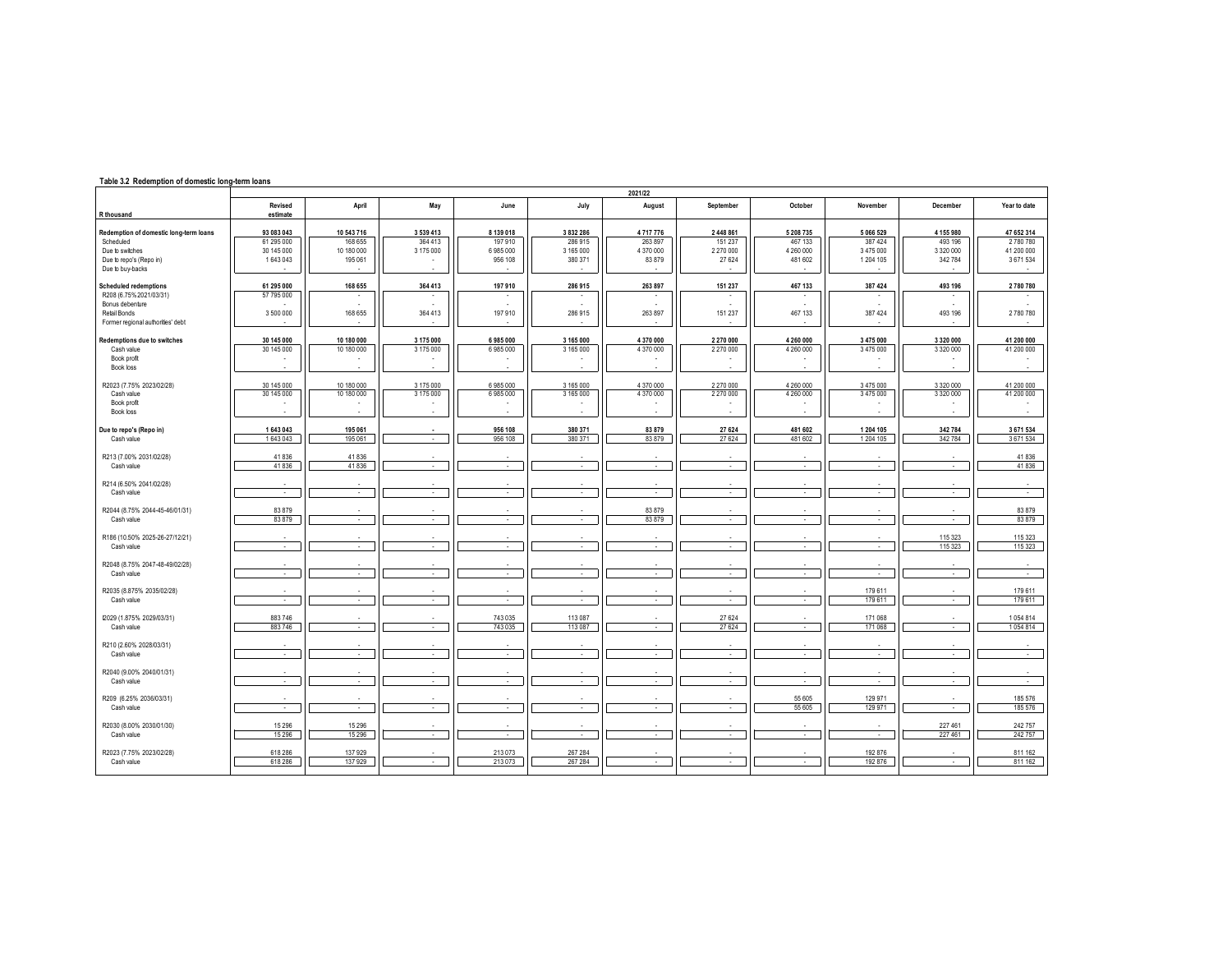## **Table 3.2 Redemption of domestic long-term loans**

|                                                                                                                                 | 2021/22                                           |                                                |                                   |                                            |                                              |                                           |                                             |                                              |                                              |                                              |                                                |  |  |
|---------------------------------------------------------------------------------------------------------------------------------|---------------------------------------------------|------------------------------------------------|-----------------------------------|--------------------------------------------|----------------------------------------------|-------------------------------------------|---------------------------------------------|----------------------------------------------|----------------------------------------------|----------------------------------------------|------------------------------------------------|--|--|
| R thousand                                                                                                                      | Revised<br>estimate                               | April                                          | May                               | June                                       | July                                         | August                                    | September                                   | October                                      | November                                     | December                                     | Year to date                                   |  |  |
| Redemption of domestic long-term loans<br>Scheduled<br>Due to switches<br>Due to repo's (Repo in)<br>Due to buy-backs           | 93 083 043<br>61 295 000<br>30 145 000<br>1643043 | 10 543 716<br>168 655<br>10 180 000<br>195 061 | 3 539 413<br>364 413<br>3 175 000 | 8 139 018<br>197 910<br>6985000<br>956 108 | 3 832 286<br>286 915<br>3 165 000<br>380 371 | 4717776<br>263 897<br>4 370 000<br>83 879 | 2 448 861<br>151 237<br>2 270 000<br>27 624 | 5 208 735<br>467 133<br>4 260 000<br>481 602 | 5 066 529<br>387 424<br>3475000<br>1 204 105 | 4 155 980<br>493 196<br>3 320 000<br>342 784 | 47 652 314<br>2780780<br>41 200 000<br>3671534 |  |  |
| <b>Scheduled redemptions</b><br>R208 (6.75% 2021/03/31)<br>Bonus debenture<br>Retail Bonds<br>Former regional authorities' debt | 61 295 000<br>57 795 000<br>3 500 000             | 168 655<br>$\overline{\phantom{a}}$<br>168 655 | 364 413<br>364 413                | 197 910<br>197 910                         | 286 915<br>286 915                           | 263 897<br>٠<br>263 897                   | 151 237<br>151 237                          | 467 133<br>467 133                           | 387 424<br>387 424                           | 493 196<br>493 196                           | 2780780<br>$\overline{\phantom{a}}$<br>2780780 |  |  |
| Redemptions due to switches<br>Cash value<br>Book profit<br>Book loss                                                           | 30 145 000<br>30 145 000                          | 10 180 000<br>10 180 000                       | 3 175 000<br>3 175 000            | 6985000<br>6 985 000                       | 3 165 000<br>3 165 000                       | 4 370 000<br>4 370 000                    | 2 270 000<br>2 270 000                      | 4 260 000<br>4 260 000                       | 3 475 000<br>3475000                         | 3 3 2 0 0 0 0<br>3 3 2 0 0 0 0               | 41 200 000<br>41 200 000                       |  |  |
| R2023 (7.75% 2023/02/28)<br>Cash value<br>Book profit<br>Book loss                                                              | 30 145 000<br>30 145 000                          | 10 180 000<br>10 180 000                       | 3 175 000<br>3 175 000            | 6985000<br>6985000                         | 3 165 000<br>3 165 000                       | 4 370 000<br>4 370 000                    | 2 270 000<br>2 270 000                      | 4 260 000<br>4 260 000                       | 3475000<br>3475000                           | 3 320 000<br>3 3 2 0 0 0 0                   | 41 200 000<br>41 200 000                       |  |  |
| Due to repo's (Repo in)<br>Cash value                                                                                           | 1643043<br>1643043                                | 195 061<br>195 061                             | $\sim$                            | 956 108<br>956 108                         | 380 371<br>380 371                           | 83 879<br>83879                           | 27 624<br>27 624                            | 481 602<br>481 602                           | 1204 105<br>1204 105                         | 342 784<br>342 784                           | 3 671 534<br>3671534                           |  |  |
| R213 (7.00% 2031/02/28)<br>Cash value                                                                                           | 41836<br>41836                                    | 41836<br>41836                                 | ×                                 | ×                                          | ×                                            | $\sim$                                    | $\sim$                                      | à.                                           | ×.                                           | ÷                                            | 41836<br>41836                                 |  |  |
| R214 (6.50% 2041/02/28)<br>Cash value                                                                                           | ä,                                                |                                                |                                   | $\epsilon$                                 | $\sim$                                       | $\epsilon$                                |                                             | $\sim$                                       |                                              | $\sim$                                       | $\cdot$                                        |  |  |
| R2044 (8.75% 2044-45-46/01/31)<br>Cash value                                                                                    | 83879<br>83 879                                   | $\sim$                                         | - 11                              | $\sim$                                     | $\sim$                                       | 83879<br>83 879                           | $\sim$                                      | $\sim$                                       | $\sim$                                       | $\sim$                                       | 83 879<br>83 879                               |  |  |
| R186 (10.50% 2025-26-27/12/21)<br>Cash value                                                                                    | $\sim$                                            | $\sim$                                         | $\sim$                            | $\sim$                                     | $\sim$                                       | $\sim$                                    | $\sim$                                      | $\sim$                                       | $\sim$                                       | 115 323<br>115 323                           | 115 323<br>115 323                             |  |  |
| R2048 (8.75% 2047-48-49/02/28)<br>Cash value                                                                                    | $\sim$                                            | $\sim$                                         | $\sim$                            | $\sim$                                     | $\sim$                                       | $\sim$                                    | $\sim$                                      | $\sim$                                       | $\sim$                                       | $\sim$                                       | $\sim$                                         |  |  |
| R2035 (8.875% 2035/02/28)<br>Cash value                                                                                         | $\sim$                                            | $\sim$                                         | $\sim$                            | $\sim$                                     | $\sim$                                       | $\sim$                                    | $\sim$                                      | $\sim$                                       | 179 611<br>179 611                           | $\sim$                                       | 179 611<br>179 611                             |  |  |
| I2029 (1.875% 2029/03/31)<br>Cash value                                                                                         | 883746<br>883746                                  | $\sim$                                         | $\sim$                            | 743 035<br>743 035                         | 113 087<br>113 087                           | $\sim$                                    | 27 624<br>27 6 24                           | $\sim$                                       | 171 068<br>171 068                           | $\sim$                                       | 1054814<br>1054814                             |  |  |
| R210 (2.60% 2028/03/31)<br>Cash value                                                                                           | $\sim$                                            | $\sim$                                         | $\sim$                            | $\sim$                                     | $\sim$                                       | $\sim$                                    | $\sim$                                      | $\sim$                                       | $\sim$                                       | $\sim$                                       | $\epsilon$                                     |  |  |
| R2040 (9.00% 2040/01/31)<br>Cash value                                                                                          | ×                                                 | $\epsilon$                                     | $\sim$                            | $\sim$                                     | $\sim$                                       | ٠<br>$\sim$                               | $\sim$                                      | ×                                            | $\sim$                                       | $\epsilon$                                   | $\sim$                                         |  |  |
| R209 (6.25% 2036/03/31)<br>Cash value                                                                                           |                                                   |                                                | ٠                                 | $\epsilon$                                 | ×.                                           | $\epsilon$                                |                                             | 55 605<br>55 605                             | 129 971<br>129 971                           |                                              | 185 576<br>185 576                             |  |  |
| R2030 (8.00% 2030/01/30)<br>Cash value                                                                                          | 15 2 96<br>15 2 96                                | 15 2 96<br>15 29 6                             | $\epsilon$                        | $\sim$                                     | $\sim$                                       | $\sim$                                    | $\sim$                                      | $\sim$                                       | $\sim$                                       | 227 461<br>227 461                           | 242 757<br>242757                              |  |  |
| R2023 (7.75% 2023/02/28)<br>Cash value                                                                                          | 618 286<br>618 286                                | 137 929<br>137 929                             | $\sim$                            | 213 073<br>213 073                         | 267 284<br>267 284                           | $\sim$                                    | $\sim$                                      | $\sim$                                       | 192 876<br>192 876                           | $\sim$                                       | 811 162<br>811 162                             |  |  |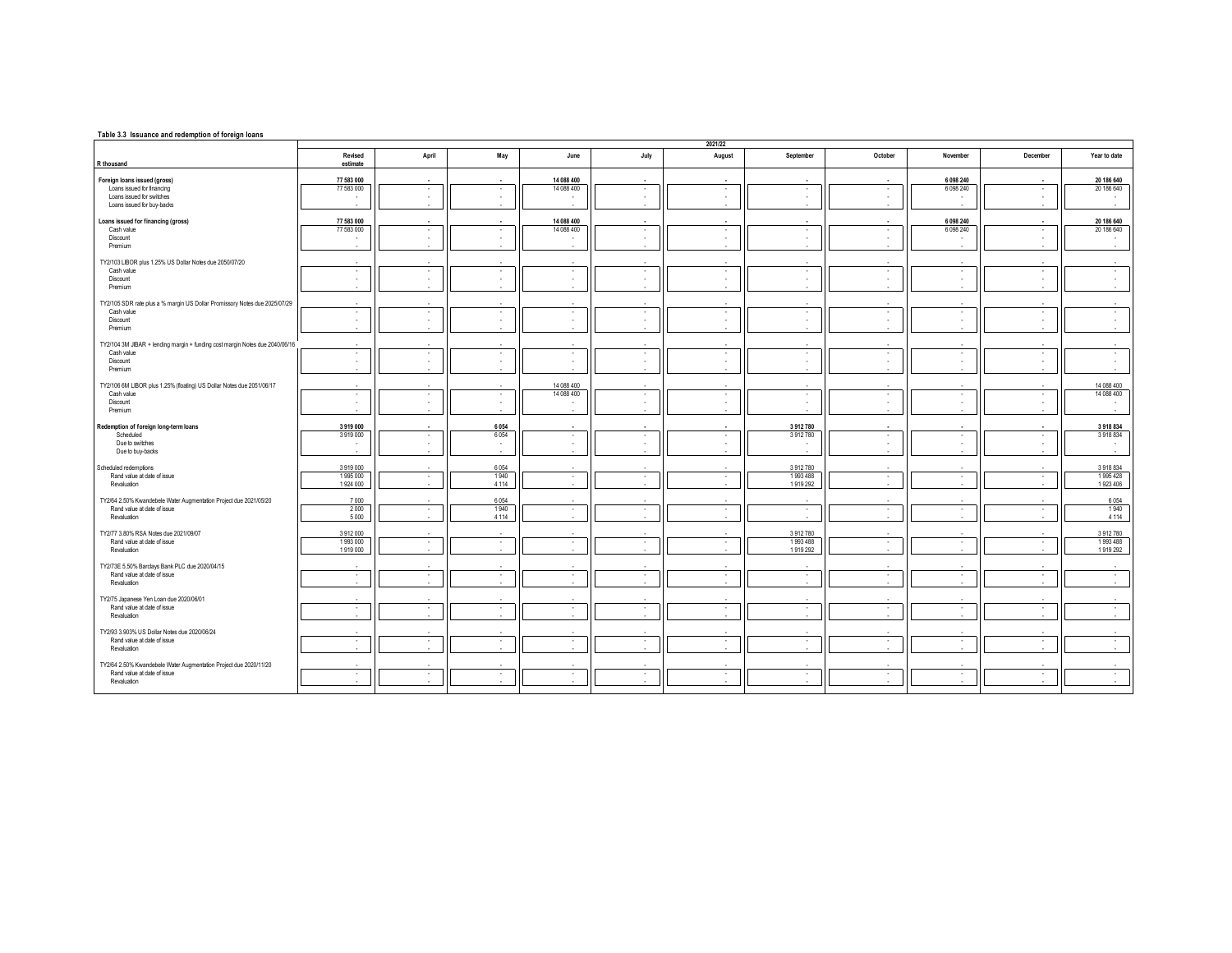## **Table 3.3 Issuance and redemption of foreign loans**

|                                                                              |                          | 2021/22          |                                    |                          |        |                      |              |               |                         |                   |                          |  |  |  |
|------------------------------------------------------------------------------|--------------------------|------------------|------------------------------------|--------------------------|--------|----------------------|--------------|---------------|-------------------------|-------------------|--------------------------|--|--|--|
| R thousand                                                                   | Revised<br>estimate      | April            | May                                | June                     | July   | August               | September    | October       | November                | December          | Year to date             |  |  |  |
|                                                                              |                          |                  |                                    |                          |        |                      |              |               |                         |                   |                          |  |  |  |
| Foreign loans issued (gross)<br>Loans issued for financing                   | 77 583 000<br>77 583 000 | $\sim$<br>$\sim$ | $\overline{\phantom{a}}$<br>$\sim$ | 14 088 400<br>14 088 400 | $\sim$ | $\cdot$              | $\cdot$      | $\sim$        | 6 098 240<br>6 0 98 240 | $\sim$<br>$\cdot$ | 20 186 640<br>20 186 640 |  |  |  |
| Loans issued for switches                                                    |                          | $\sim$           | $\sim$                             |                          |        | $\sim$               | $\sim$       | $\sim$        | $\sim$                  | $\sim$            |                          |  |  |  |
| Loans issued for buy-backs                                                   |                          | $\mathbf{r}$     | $\sim$                             | ٠                        |        | $\sim$               | ×.           | $\sim$        | $\mathbf{r}$            | $\sim$            |                          |  |  |  |
| Loans issued for financing (gross)                                           | 77 583 000               | $\sim$           | $\sim$                             | 14 088 400               |        | ×.                   | in a         |               | 6 098 240               | $\mathbf{r}$      | 20 186 640               |  |  |  |
| Cash value                                                                   | 77 583 000               | $\sim$           | $\sim$                             | 14 088 400               | $\sim$ | $\sim$               | $\sim$       | <b>.</b>      | 6 0 98 240              | ٠                 | 20 186 640               |  |  |  |
| Discount                                                                     |                          |                  | ٠.                                 |                          |        | ٠                    | ٠            |               |                         | ٠                 |                          |  |  |  |
| Premium                                                                      |                          |                  |                                    | $\mathbf{r}$             |        | ×.                   | ×.           |               | $\sim$                  | $\sim$            |                          |  |  |  |
| TY2/103 LIBOR plus 1.25% US Dollar Notes due 2050/07/20                      |                          |                  |                                    |                          |        |                      |              |               |                         |                   |                          |  |  |  |
| Cash value                                                                   | ٠                        | $\cdot$          | $\sim$                             | $\sim$                   | $\sim$ | $\sim$               | ٠            | $\sim$        | $\sim$                  | $\cdot$           |                          |  |  |  |
| Discount                                                                     | ٠.                       | ٠.               | ٠.                                 | ٠                        |        | $\sim$               | ٠            | ٠.            | $\sim$                  | ٠                 | $\sim$                   |  |  |  |
| Premium                                                                      | $\sim$                   | $\sim$           | <b>1979</b>                        | $\sim$                   |        | $\sim$               | ÷.           | $\sim$        | ۰.                      | $\sim$            | $\sim$                   |  |  |  |
| TY2/105 SDR rate plus a % margin US Dollar Promissory Notes due 2025/07/29   |                          |                  |                                    |                          |        |                      |              |               |                         |                   |                          |  |  |  |
| Cash value                                                                   | ٠                        | $\sim$           | $\sim$                             | $\sim$                   | $\sim$ | $\sim$               | $\sim$       | $\sim$        | $\sim$                  | ٠                 |                          |  |  |  |
| Discount                                                                     | ٠                        | $\sim$           | $\sim$                             | ٠                        |        | $\sim$               | $\sim$       | $\sim$        | $\sim$                  | ٠                 |                          |  |  |  |
| Premium                                                                      |                          |                  |                                    | ٠                        |        | ×.                   |              |               |                         | ×.                |                          |  |  |  |
| TY2/104 3M JIBAR + lending margin + funding cost margin Notes due 2040/06/16 |                          |                  |                                    |                          |        |                      |              |               |                         |                   |                          |  |  |  |
| Cash value                                                                   | $\mathbf{r}$             | $\sim$           | $\sim$                             | $\cdot$                  | $\sim$ | $\sim$               | ٠            | $\sim$        | $\sim$                  | $\cdot$           | $\sim$                   |  |  |  |
| Discount                                                                     | $\sim$                   |                  | $\sim$                             | $\epsilon$               |        | $\epsilon$           | $\sim$       | $\sim$        | $\sim$                  | ×.                | $\sim$                   |  |  |  |
| Premium                                                                      |                          |                  |                                    | ×                        |        | $\mathbf{r}$         | ×.           | $\sim$        |                         | $\sim$            |                          |  |  |  |
| TY2/106 6M LIBOR plus 1.25% (floating) US Dollar Notes due 2051/06/17        |                          |                  |                                    | 14 088 400               |        |                      |              |               |                         |                   | 14 088 400               |  |  |  |
| Cash value                                                                   | ٠                        | $\cdot$          | $\sim$                             | 14 088 400               |        | ٠                    | ٠            | ٠             | $\sim$                  | $\cdot$           | 14 088 400               |  |  |  |
| Discount                                                                     | ٠                        | $\mathbf{r}$     | <b>1979</b><br>÷.                  | ٠                        |        | $\sim$<br>$\epsilon$ | ×.           | . .<br>$\sim$ | <b>1999</b><br>$\sim$   | $\sim$<br>×.      |                          |  |  |  |
| Premium                                                                      |                          |                  |                                    |                          |        |                      |              |               |                         |                   |                          |  |  |  |
| Redemption of foreign long-term loans                                        | 3919000                  |                  | 6054                               | $\overline{\phantom{a}}$ |        | ۰.                   | 3912780      |               | . .                     | $\sim$            | 3918834                  |  |  |  |
| Scheduled                                                                    | 3919000                  | $\sim$           | 6054                               | $\cdot$                  | $\sim$ | $\sim$               | 3912780      | $\sim$        | $\sim$                  | ٠                 | 3918834                  |  |  |  |
| Due to switches                                                              |                          | $\sim$           | $\sim$                             | $\overline{\phantom{a}}$ |        | ٠                    | ٠            | $\sim$        | $\sim$                  | ٠                 | $\sim$                   |  |  |  |
| Due to buy-backs                                                             |                          | . .              | ×.                                 | $\mathbf{r}$             |        | $\sim$               |              | <b>1979</b>   | ۰.                      | $\sim$            |                          |  |  |  |
| Scheduled redemptions                                                        | 3919000                  |                  | 6054                               |                          |        |                      | 3912780      |               |                         |                   | 3918834                  |  |  |  |
| Rand value at date of issue                                                  | 1995 000                 | $\sim$           | 1940                               | $\cdot$                  | $\sim$ | $\cdot$              | 1993488      | $\sim$        | $\sim$                  | $\cdot$           | 1995428                  |  |  |  |
| Revaluation                                                                  | 1924 000                 | $\sim$           | 4 1 1 4                            | $\sim$                   |        | $\sim$               | 1919 292     | $\sim$        | $\sim$                  | $\sim$            | 1923 406                 |  |  |  |
| TY2/64 2.50% Kwandebele Water Augmentation Project due 2021/05/20            | 7000                     |                  | 6054                               | ٠.                       |        |                      | $\sim$       |               | $\sim$                  | $\sim$            | 6054                     |  |  |  |
| Rand value at date of issue                                                  | 2000                     | $\sim$           | 1940                               | $\cdot$                  | $\sim$ | $\cdot$              | ٠            | $\sim$        | $\sim$                  | $\cdot$           | 1940                     |  |  |  |
| Revaluation                                                                  | 5 0 0 0                  | $\mathbf{r}$     | 4 1 1 4                            | $\sim$                   |        | $\sim$               | ×.           | $\sim$        | $\sim$                  | $\sim$            | 4 1 1 4                  |  |  |  |
| TY2/77 3.80% RSA Notes due 2021/09/07                                        | 3912000                  |                  |                                    |                          |        |                      | 3912780      |               |                         |                   | 3912780                  |  |  |  |
| Rand value at date of issue                                                  | 1993000                  | $\sim$           | $\sim$                             | $\cdot$                  | $\sim$ | $\cdot$              | 1993 488     | $\sim$        | $\sim$                  | ×.                | 1993488                  |  |  |  |
| Revaluation                                                                  | 1919000                  |                  |                                    | $\sim$                   |        | $\sim$               | 1919 292     |               | $\sim$                  | $\sim$            | 1919 292                 |  |  |  |
| TY2/73E 5.50% Barclays Bank PLC due 2020/04/15                               |                          |                  | $\mathbf{r}$                       |                          |        |                      |              |               |                         |                   |                          |  |  |  |
| Rand value at date of issue                                                  | ٠                        | $\sim$           | $\sim$                             | $\sim$                   | $\sim$ | $\sim$               | $\sim$       | $\sim$        | $\sim$                  | $\cdot$           | $\sim$                   |  |  |  |
| Revaluation                                                                  |                          |                  | ×.                                 | ٠                        |        | ×.                   | $\mathbf{r}$ |               | $\mathbf{r}$            | $\sim$            |                          |  |  |  |
| TY2/75 Japanese Yen Loan due 2020/06/01                                      |                          |                  |                                    |                          |        |                      |              |               |                         |                   |                          |  |  |  |
| Rand value at date of issue                                                  | ٠                        | $\sim$           | $\sim$                             | $\sim$                   | $\sim$ | $\sim$               | $\sim$       | $\sim$        | $\sim$                  | $\sim$            | $\sim$                   |  |  |  |
| Revaluation                                                                  |                          | $\sim$           |                                    | $\sim$                   |        | $\sim$               | ٠            | . .           | $\sim$                  | $\sim$            | $\sim$                   |  |  |  |
| TY2/93 3.903% US Dollar Notes due 2020/06/24                                 |                          |                  |                                    |                          |        |                      |              |               |                         |                   |                          |  |  |  |
| Rand value at date of issue                                                  | ٠                        | $\sim$           | $\sim$                             | $\sim$                   | $\sim$ | $\sim$               | $\sim$       | $\sim$        | $\sim$                  | $\sim$            | $\sim$                   |  |  |  |
| Revaluation                                                                  |                          |                  |                                    | ×.                       |        |                      |              |               |                         |                   |                          |  |  |  |
|                                                                              |                          |                  |                                    |                          |        |                      |              |               |                         |                   |                          |  |  |  |
| TY2/64 2.50% Kwandebele Water Augmentation Project due 2020/11/20            |                          |                  |                                    |                          |        |                      |              |               |                         |                   |                          |  |  |  |
| Rand value at date of issue<br>Revaluation                                   | $\sim$                   | $\sim$           | $\sim$                             | $\sim$<br>٠              | $\sim$ | $\sim$<br>٠          | $\sim$<br>٠  | $\sim$        | $\sim$                  | $\sim$            | $\sim$                   |  |  |  |
|                                                                              |                          |                  |                                    |                          |        |                      |              |               |                         |                   |                          |  |  |  |